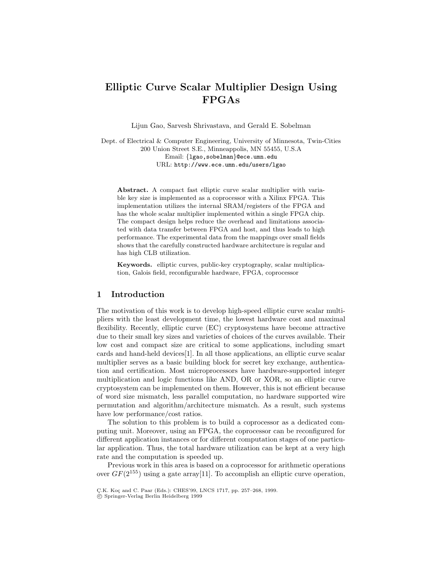# **Elliptic Curve Scalar Multiplier Design Using FPGAs**

Lijun Gao, Sarvesh Shrivastava, and Gerald E. Sobelman

Dept. of Electrical & Computer Engineering, University of Minnesota, Twin-Cities 200 Union Street S.E., Minneappolis, MN 55455, U.S.A Email: {lgao,sobelman}@ece.umn.edu URL: http://www.ece.umn.edu/users/lgao

**Abstract.** A compact fast elliptic curve scalar multiplier with variable key size is implemented as a coprocessor with a Xilinx FPGA. This implementation utilizes the internal SRAM/registers of the FPGA and has the whole scalar multiplier implemented within a single FPGA chip. The compact design helps reduce the overhead and limitations associated with data transfer between FPGA and host, and thus leads to high performance. The experimental data from the mappings over small fields shows that the carefully constructed hardware architecture is regular and has high CLB utilization.

**Keywords.** elliptic curves, public-key cryptography, scalar multiplication, Galois field, reconfigurable hardware, FPGA, coprocessor

## **1 Introduction**

The motivation of this work is to develop high-speed elliptic curve scalar multipliers with the least development time, the lowest hardware cost and maximal flexibility. Recently, elliptic curve (EC) cryptosystems have become attractive due to their small key sizes and varieties of choices of the curves available. Their low cost and compact size are critical to some applications, including smart cards and hand-held devices[1]. In all those applications, an elliptic curve scalar multiplier serves as a basic building block for secret key exchange, authentication and certification. Most microprocessors have hardware-supported integer multiplication and logic functions like AND, OR or XOR, so an elliptic curve cryptosystem can be implemented on them. However, this is not efficient because of word size mismatch, less parallel computation, no hardware supported wire permutation and algorithm/architecture mismatch. As a result, such systems have low performance/cost ratios.

The solution to this problem is to build a coprocessor as a dedicated computing unit. Moreover, using an FPGA, the coprocessor can be reconfigured for different application instances or for different computation stages of one particular application. Thus, the total hardware utilization can be kept at a very high rate and the computation is speeded up.

Previous work in this area is based on a coprocessor for arithmetic operations over  $GF(2^{155})$  using a gate array [11]. To accomplish an elliptic curve operation,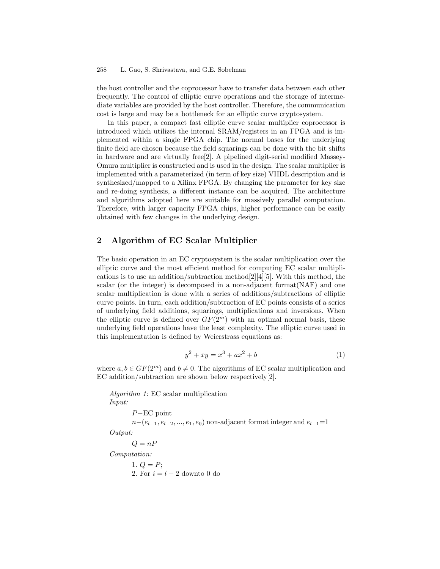the host controller and the coprocessor have to transfer data between each other frequently. The control of elliptic curve operations and the storage of intermediate variables are provided by the host controller. Therefore, the communication cost is large and may be a bottleneck for an elliptic curve cryptosystem.

In this paper, a compact fast elliptic curve scalar multiplier coprocessor is introduced which utilizes the internal SRAM/registers in an FPGA and is implemented within a single FPGA chip. The normal bases for the underlying finite field are chosen because the field squarings can be done with the bit shifts in hardware and are virtually free[2]. A pipelined digit-serial modified Massey-Omura multiplier is constructed and is used in the design. The scalar multiplier is implemented with a parameterized (in term of key size) VHDL description and is synthesized/mapped to a Xilinx FPGA. By changing the parameter for key size and re-doing synthesis, a different instance can be acquired. The architecture and algorithms adopted here are suitable for massively parallel computation. Therefore, with larger capacity FPGA chips, higher performance can be easily obtained with few changes in the underlying design.

## **2 Algorithm of EC Scalar Multiplier**

The basic operation in an EC cryptosystem is the scalar multiplication over the elliptic curve and the most efficient method for computing EC scalar multiplications is to use an addition/subtraction method $[2][4][5]$ . With this method, the scalar (or the integer) is decomposed in a non-adjacent format(NAF) and one scalar multiplication is done with a series of additions/subtractions of elliptic curve points. In turn, each addition/subtraction of EC points consists of a series of underlying field additions, squarings, multiplications and inversions. When the elliptic curve is defined over  $GF(2<sup>m</sup>)$  with an optimal normal basis, these underlying field operations have the least complexity. The elliptic curve used in this implementation is defined by Weierstrass equations as:

$$
y^2 + xy = x^3 + ax^2 + b \tag{1}
$$

where  $a, b \in GF(2^m)$  and  $b \neq 0$ . The algorithms of EC scalar multiplication and EC addition/subtraction are shown below respectively[2].

Algorithm 1: EC scalar multiplication Input:

P−EC point  $n-(e_{l-1}, e_{l-2}, ..., e_1, e_0)$  non-adjacent format integer and  $e_{l-1}=1$ Output:

 $Q = nP$ 

Computation:

1.  $Q = P$ ; 2. For  $i = l - 2$  downto 0 do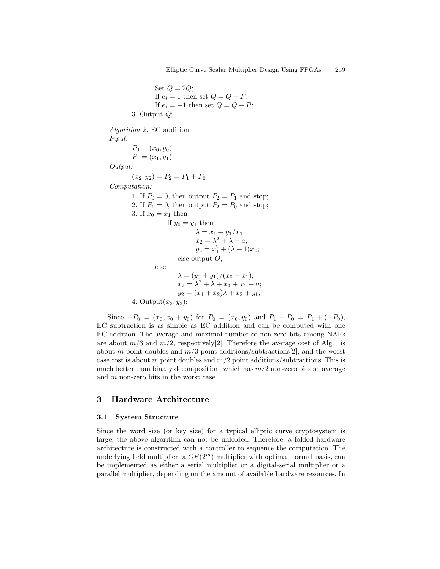Set  $Q = 2Q$ ; If  $e_i = 1$  then set  $Q = Q + P$ ; If  $e_i = -1$  then set  $Q = Q - P$ ; 3. Output Q;

Algorithm 2: EC addition Input:

> $P_0 = (x_0, y_0)$  $P_1 = (x_1, y_1)$

Output:

 $(x_2, y_2) = P_2 = P_1 + P_0$ Computation: 1. If  $P_0 = 0$ , then output  $P_2 = P_1$  and stop; 2. If  $P_1 = 0$ , then output  $P_2 = P_0$  and stop; 3. If  $x_0 = x_1$  then If  $y_0 = y_1$  then  $\lambda = x_1 + y_1/x_1;$  $x_2 = \lambda^2 + \lambda + a;$  $y_2 = x_1^2 + (\lambda + 1)x_2;$ else output  $O$ : else  $\lambda = (y_0 + y_1)/(x_0 + x_1);$  $x_2 = \lambda^2 + \lambda + x_0 + x_1 + a$ ;  $y_2 = (x_1 + x_2)\lambda + x_2 + y_1;$ 4. Output $(x_2, y_2)$ ;

Since  $-P_0 = (x_0, x_0 + y_0)$  for  $P_0 = (x_0, y_0)$  and  $P_1 - P_0 = P_1 + (-P_0)$ , EC subtraction is as simple as EC addition and can be computed with one EC addition. The average and maximal number of non-zero bits among NAFs are about  $m/3$  and  $m/2$ , respectively [2]. Therefore the average cost of Alg.1 is about m point doubles and  $m/3$  point additions/subtractions[2], and the worst case cost is about m point doubles and  $m/2$  point additions/subtractions. This is much better than binary decomposition, which has  $m/2$  non-zero bits on average and m non-zero bits in the worst case.

# **3 Hardware Architecture**

## **3.1 System Structure**

Since the word size (or key size) for a typical elliptic curve cryptosystem is large, the above algorithm can not be unfolded. Therefore, a folded hardware architecture is constructed with a controller to sequence the computation. The underlying field multiplier, a  $GF(2<sup>m</sup>)$  multiplier with optimal normal basis, can be implemented as either a serial multiplier or a digital-serial multiplier or a parallel multiplier, depending on the amount of available hardware resources. In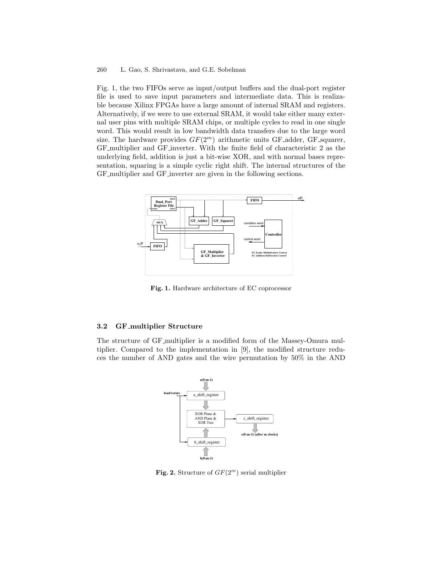Fig. 1, the two FIFOs serve as input/output buffers and the dual-port register file is used to save input parameters and intermediate data. This is realizable because Xilinx FPGAs have a large amount of internal SRAM and registers. Alternatively, if we were to use external SRAM, it would take either many external user pins with multiple SRAM chips, or multiple cycles to read in one single word. This would result in low bandwidth data transfers due to the large word size. The hardware provides  $GF(2^m)$  arithmetic units GF adder, GF squarer, GF multiplier and GF inverter. With the finite field of characteristic 2 as the underlying field, addition is just a bit-wise XOR, and with normal bases representation, squaring is a simple cyclic right shift. The internal structures of the GF multiplier and GF inverter are given in the following sections.



**Fig. 1.** Hardware architecture of EC coprocessor

### **3.2 GF multiplier Structure**

The structure of GF multiplier is a modified form of the Massey-Omura multiplier. Compared to the implementation in [9], the modified structure reduces the number of AND gates and the wire permutation by 50% in the AND



**Fig. 2.** Structure of  $GF(2^m)$  serial multiplier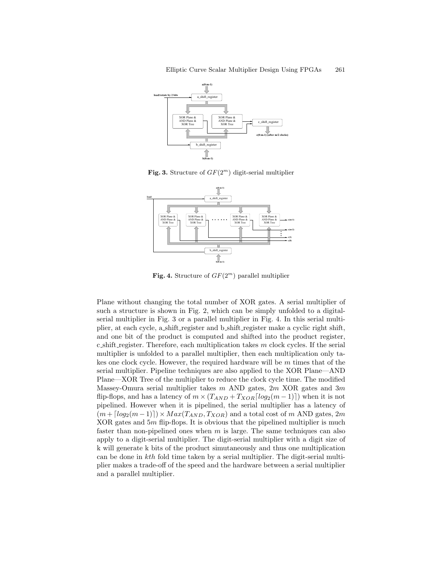

**Fig. 3.** Structure of  $GF(2^m)$  digit-serial multiplier



**Fig. 4.** Structure of  $GF(2^m)$  parallel multiplier

Plane without changing the total number of XOR gates. A serial multiplier of such a structure is shown in Fig. 2, which can be simply unfolded to a digitalserial multiplier in Fig. 3 or a parallel multiplier in Fig. 4. In this serial multiplier, at each cycle, a shift register and b shift register make a cyclic right shift, and one bit of the product is computed and shifted into the product register, c shift register. Therefore, each multiplication takes  $m$  clock cycles. If the serial multiplier is unfolded to a parallel multiplier, then each multiplication only takes one clock cycle. However, the required hardware will be  $m$  times that of the serial multiplier. Pipeline techniques are also applied to the XOR Plane—AND Plane—XOR Tree of the multiplier to reduce the clock cycle time. The modified Massey-Omura serial multiplier takes  $m$  AND gates,  $2m$  XOR gates and  $3m$ flip-flops, and has a latency of  $m \times (T_{AND} + T_{XOR} \lceil log_2(m-1) \rceil)$  when it is not pipelined. However when it is pipelined, the serial multiplier has a latency of  $(m + \lceil log_2(m - 1) \rceil) \times Max(T_{AND}, T_{XOR})$  and a total cost of m AND gates, 2m XOR gates and 5m flip-flops. It is obvious that the pipelined multiplier is much faster than non-pipelined ones when  $m$  is large. The same techniques can also apply to a digit-serial multiplier. The digit-serial multiplier with a digit size of k will generate k bits of the product simutaneously and thus one multiplication can be done in  $kth$  fold time taken by a serial multiplier. The digit-serial multiplier makes a trade-off of the speed and the hardware between a serial multiplier and a parallel multiplier.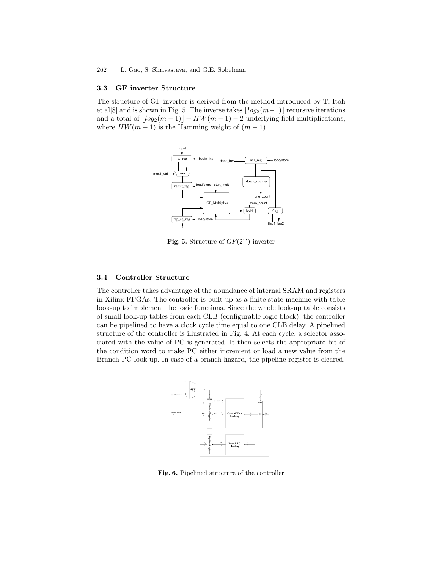#### **3.3 GF inverter Structure**

The structure of GF inverter is derived from the method introduced by T. Itoh et al[8] and is shown in Fig. 5. The inverse takes  $\lfloor log_2(m-1) \rfloor$  recursive iterations and a total of  $\lfloor log_2(m - 1) \rfloor + HW(m - 1) - 2$  underlying field multiplications, where  $HW(m-1)$  is the Hamming weight of  $(m-1)$ .



**Fig. 5.** Structure of  $GF(2^m)$  inverter

#### **3.4 Controller Structure**

The controller takes advantage of the abundance of internal SRAM and registers in Xilinx FPGAs. The controller is built up as a finite state machine with table look-up to implement the logic functions. Since the whole look-up table consists of small look-up tables from each CLB (configurable logic block), the controller can be pipelined to have a clock cycle time equal to one CLB delay. A pipelined structure of the controller is illustrated in Fig. 4. At each cycle, a selector associated with the value of PC is generated. It then selects the appropriate bit of the condition word to make PC either increment or load a new value from the Branch PC look-up. In case of a branch hazard, the pipeline register is cleared.



**Fig. 6.** Pipelined structure of the controller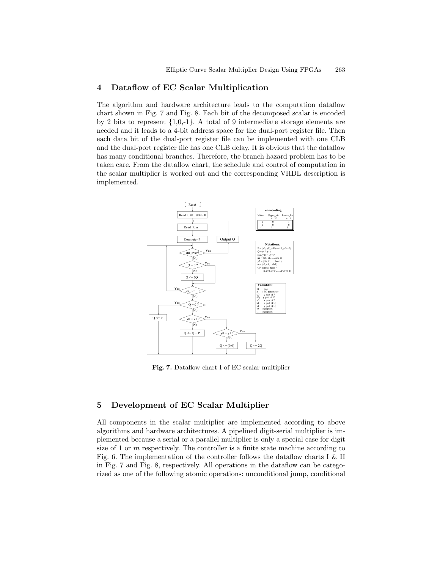## **4 Dataflow of EC Scalar Multiplication**

The algorithm and hardware architecture leads to the computation dataflow chart shown in Fig. 7 and Fig. 8. Each bit of the decomposed scalar is encoded by 2 bits to represent  $\{1,0,-1\}$ . A total of 9 intermediate storage elements are needed and it leads to a 4-bit address space for the dual-port register file. Then each data bit of the dual-port register file can be implemented with one CLB and the dual-port register file has one CLB delay. It is obvious that the dataflow has many conditional branches. Therefore, the branch hazard problem has to be taken care. From the dataflow chart, the schedule and control of computation in the scalar multiplier is worked out and the corresponding VHDL description is implemented.



**Fig. 7.** Dataflow chart I of EC scalar multiplier

## **5 Development of EC Scalar Multiplier**

All components in the scalar multiplier are implemented according to above algorithms and hardware architectures. A pipelined digit-serial multiplier is implemented because a serial or a parallel multiplier is only a special case for digit size of 1 or m respectively. The controller is a finite state machine according to Fig. 6. The implementation of the controller follows the dataflow charts I & II in Fig. 7 and Fig. 8, respectively. All operations in the dataflow can be categorized as one of the following atomic operations: unconditional jump, conditional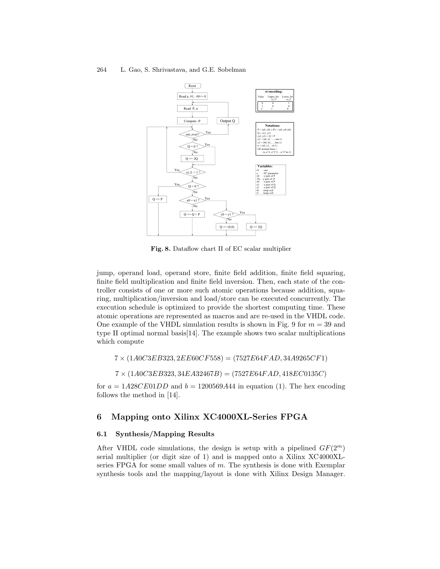

**Fig. 8.** Dataflow chart II of EC scalar multiplier

jump, operand load, operand store, finite field addition, finite field squaring, finite field multiplication and finite field inversion. Then, each state of the controller consists of one or more such atomic operations because addition, squaring, multiplication/inversion and load/store can be executed concurrently. The execution schedule is optimized to provide the shortest computing time. These atomic operations are represented as macros and are re-used in the VHDL code. One example of the VHDL simulation results is shown in Fig. 9 for  $m = 39$  and type II optimal normal basis[14]. The example shows two scalar multiplications which compute

$$
7 \times (1A0C3EB323, 2EE60CF558) = (7527E64FAD, 34A9265CF1)
$$

$$
7 \times (1A0C3EB323, 34E A32467B) = (7527E64FAD, 418E C0135C)
$$

for  $a = 1A28CE01DD$  and  $b = 1200569A44$  in equation (1). The hex encoding follows the method in [14].

# **6 Mapping onto Xilinx XC4000XL-Series FPGA**

### **6.1 Synthesis/Mapping Results**

After VHDL code simulations, the design is setup with a pipelined  $GF(2<sup>m</sup>)$ serial multiplier (or digit size of 1) and is mapped onto a Xilinx XC4000XLseries FPGA for some small values of  $m$ . The synthesis is done with Exemplar synthesis tools and the mapping/layout is done with Xilinx Design Manager.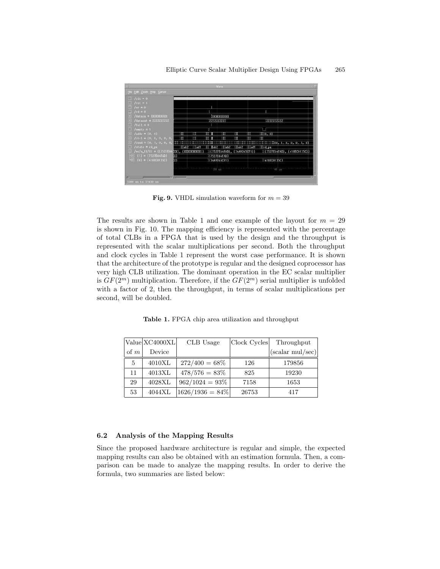

**Fig. 9.** VHDL simulation waveform for  $m = 39$ 

The results are shown in Table 1 and one example of the layout for  $m = 29$ is shown in Fig. 10. The mapping efficiency is represented with the percentage of total CLBs in a FPGA that is used by the design and the throughput is represented with the scalar multiplications per second. Both the throughput and clock cycles in Table 1 represent the worst case performance. It is shown that the architecture of the prototype is regular and the designed coprocessor has very high CLB utilization. The dominant operation in the EC scalar multiplier is  $GF(2^m)$  multiplication. Therefore, if the  $GF(2^m)$  serial multiplier is unfolded with a factor of 2, then the throughput, in terms of scalar multiplications per second, will be doubled.

**Table 1.** FPGA chip area utilization and throughput

|      | Value XC4000XL    | CLB Usage          | Clock Cycles | Throughput                |
|------|-------------------|--------------------|--------------|---------------------------|
| of m | Device            |                    |              | $(\text{scalar mul/sec})$ |
| 5    | 4010XL            | $272/400 = 68\%$   | 126          | 179856                    |
| 11   | $4013\mathrm{XL}$ | $478/576 = 83\%$   | 825          | 19230                     |
| 29   | 4028XL            | $962/1024 = 93\%$  | 7158         | 1653                      |
| 53   | 4044XL            | $1626/1936 = 84\%$ | 26753        | 417                       |

#### **6.2 Analysis of the Mapping Results**

Since the proposed hardware architecture is regular and simple, the expected mapping results can also be obtained with an estimation formula. Then, a comparison can be made to analyze the mapping results. In order to derive the formula, two summaries are listed below: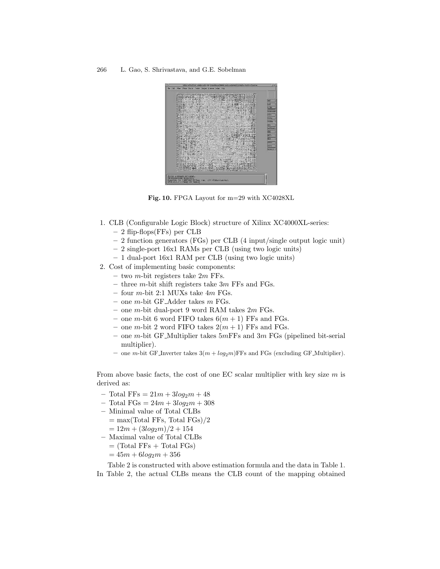

**Fig. 10.** FPGA Layout for m=29 with XC4028XL

- 1. CLB (Configurable Logic Block) structure of Xilinx XC4000XL-series:
	- **–** 2 flip-flops(FFs) per CLB
	- **–** 2 function generators (FGs) per CLB (4 input/single output logic unit)
	- **–** 2 single-port 16x1 RAMs per CLB (using two logic units)
	- **–** 1 dual-port 16x1 RAM per CLB (using two logic units)
- 2. Cost of implementing basic components:
	- **–** two m-bit registers take 2m FFs.
	- **–** three m-bit shift registers take 3m FFs and FGs.
	- **–** four m-bit 2:1 MUXs take 4m FGs.
	- **–** one m-bit GF Adder takes m FGs.
	- **–** one m-bit dual-port 9 word RAM takes 2m FGs.
	- one *m*-bit 6 word FIFO takes  $6(m + 1)$  FFs and FGs.
	- one m-bit 2 word FIFO takes  $2(m+1)$  FFs and FGs.
	- **–** one m-bit GF Multiplier takes 5mFFs and 3m FGs (pipelined bit-serial multiplier).
	- one m-bit GF Inverter takes  $3(m + log_2 m)$  FFs and FGs (excluding GF Multiplier).

From above basic facts, the cost of one EC scalar multiplier with key size  $m$  is derived as:

- $-$  Total FFs  $= 21m + 3log_2 m + 48$
- $-$  Total FGs  $= 24m + 3log_2 m + 308$
- **–** Minimal value of Total CLBs
	- $=$  max(Total FFs, Total FGs)/2
	- $= 12m + (3log_2m)/2 + 154$
- **–** Maximal value of Total CLBs
	- $=$  (Total FFs + Total FGs)
	- $= 45m + 6log_2m + 356$

Table 2 is constructed with above estimation formula and the data in Table 1. In Table 2, the actual CLBs means the CLB count of the mapping obtained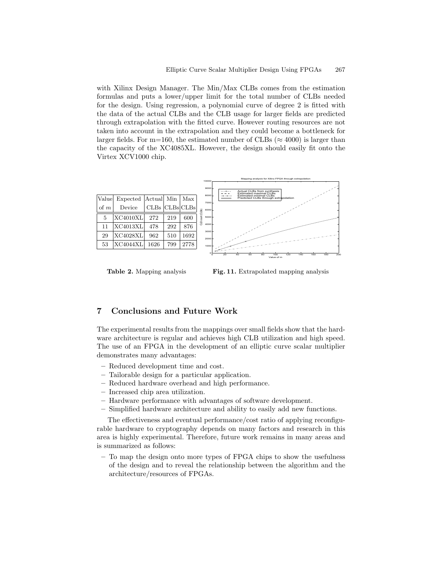with Xilinx Design Manager. The Min/Max CLBs comes from the estimation formulas and puts a lower/upper limit for the total number of CLBs needed for the design. Using regression, a polynomial curve of degree 2 is fitted with the data of the actual CLBs and the CLB usage for larger fields are predicted through extrapolation with the fitted curve. However routing resources are not taken into account in the extrapolation and they could become a bottleneck for larger fields. For m=160, the estimated number of CLBs ( $\approx$  4000) is larger than the capacity of the XC4085XL. However, the design should easily fit onto the Virtex XCV1000 chip.



**Table 2.** Mapping analysis

**Fig. 11.** Extrapolated mapping analysis

# **7 Conclusions and Future Work**

The experimental results from the mappings over small fields show that the hardware architecture is regular and achieves high CLB utilization and high speed. The use of an FPGA in the development of an elliptic curve scalar multiplier demonstrates many advantages:

- **–** Reduced development time and cost.
- **–** Tailorable design for a particular application.
- **–** Reduced hardware overhead and high performance.
- **–** Increased chip area utilization.
- **–** Hardware performance with advantages of software development.
- **–** Simplified hardware architecture and ability to easily add new functions.

The effectiveness and eventual performance/cost ratio of applying reconfigurable hardware to cryptography depends on many factors and research in this area is highly experimental. Therefore, future work remains in many areas and is summarized as follows:

**–** To map the design onto more types of FPGA chips to show the usefulness of the design and to reveal the relationship between the algorithm and the architecture/resources of FPGAs.